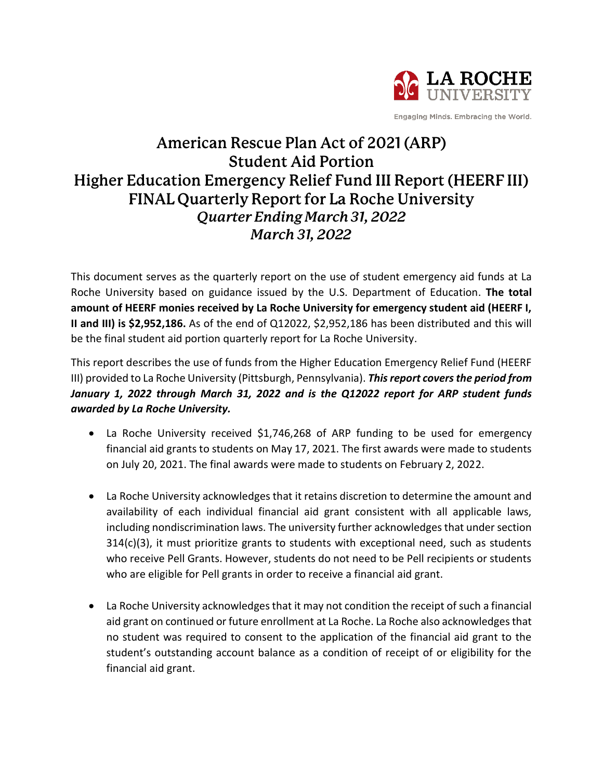

Engaging Minds. Embracing the World.

## American Rescue Plan Act of 2021 (ARP) **Student Aid Portion** Higher Education Emergency Relief Fund III Report (HEERF III) **FINAL Quarterly Report for La Roche University** Quarter Ending March 31, 2022 March 31, 2022

This document serves as the quarterly report on the use of student emergency aid funds at La Roche University based on guidance issued by the U.S. Department of Education. **The total amount of HEERF monies received by La Roche University for emergency student aid (HEERF I, II and III) is \$2,952,186.** As of the end of Q12022, \$2,952,186 has been distributed and this will be the final student aid portion quarterly report for La Roche University.

This report describes the use of funds from the Higher Education Emergency Relief Fund (HEERF III) provided to La Roche University (Pittsburgh, Pennsylvania). *This report covers the period from January 1, 2022 through March 31, 2022 and is the Q12022 report for ARP student funds awarded by La Roche University.*

- La Roche University received \$1,746,268 of ARP funding to be used for emergency financial aid grants to students on May 17, 2021. The first awards were made to students on July 20, 2021. The final awards were made to students on February 2, 2022.
- La Roche University acknowledges that it retains discretion to determine the amount and availability of each individual financial aid grant consistent with all applicable laws, including nondiscrimination laws. The university further acknowledges that under section  $314(c)(3)$ , it must prioritize grants to students with exceptional need, such as students who receive Pell Grants. However, students do not need to be Pell recipients or students who are eligible for Pell grants in order to receive a financial aid grant.
- La Roche University acknowledges that it may not condition the receipt of such a financial aid grant on continued or future enrollment at La Roche. La Roche also acknowledgesthat no student was required to consent to the application of the financial aid grant to the student's outstanding account balance as a condition of receipt of or eligibility for the financial aid grant.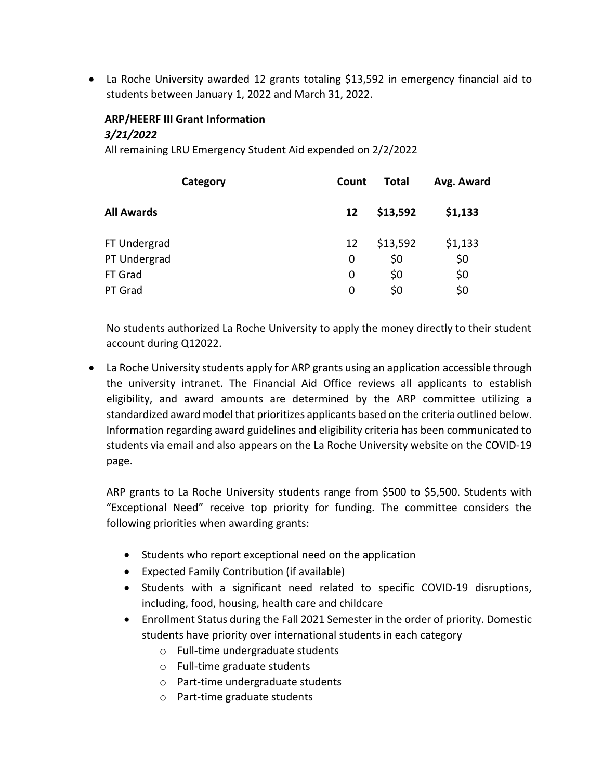• La Roche University awarded 12 grants totaling \$13,592 in emergency financial aid to students between January 1, 2022 and March 31, 2022.

## **ARP/HEERF III Grant Information** *3/21/2022*

All remaining LRU Emergency Student Aid expended on 2/2/2022

| Category          | Count | <b>Total</b> | Avg. Award |
|-------------------|-------|--------------|------------|
| <b>All Awards</b> | 12    | \$13,592     | \$1,133    |
| FT Undergrad      | 12    | \$13,592     | \$1,133    |
| PT Undergrad      | 0     | \$0          | \$0        |
| FT Grad           | 0     | \$0          | \$0        |
| PT Grad           | 0     | \$0          | \$0        |
|                   |       |              |            |

No students authorized La Roche University to apply the money directly to their student account during Q12022.

 La Roche University students apply for ARP grants using an application accessible through the university intranet. The Financial Aid Office reviews all applicants to establish eligibility, and award amounts are determined by the ARP committee utilizing a standardized award model that prioritizes applicants based on the criteria outlined below. Information regarding award guidelines and eligibility criteria has been communicated to students via email and also appears on the La Roche University website on the COVID-19 page.

ARP grants to La Roche University students range from \$500 to \$5,500. Students with "Exceptional Need" receive top priority for funding. The committee considers the following priorities when awarding grants:

- Students who report exceptional need on the application
- Expected Family Contribution (if available)
- Students with a significant need related to specific COVID-19 disruptions, including, food, housing, health care and childcare
- Enrollment Status during the Fall 2021 Semester in the order of priority. Domestic students have priority over international students in each category
	- o Full-time undergraduate students
	- o Full-time graduate students
	- o Part-time undergraduate students
	- o Part-time graduate students